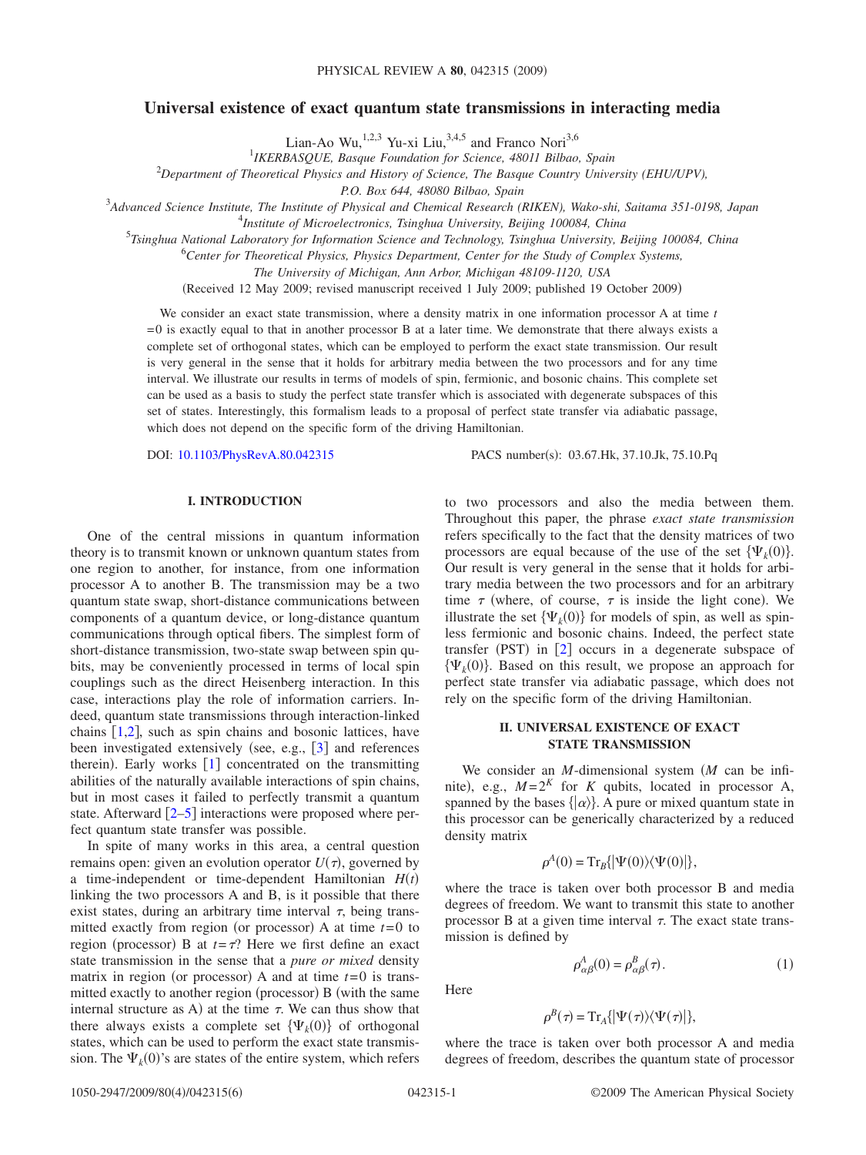# **Universal existence of exact quantum state transmissions in interacting media**

Lian-Ao Wu,<sup>1,2,3</sup> Yu-xi Liu,<sup>3,4,5</sup> and Franco Nori<sup>3,6</sup><br><sup>1</sup>IKERBASQUE, Basque Foundation for Science, 48011 Bilbao, Spain

2 *Department of Theoretical Physics and History of Science, The Basque Country University (EHU/UPV),*

*P.O. Box 644, 48080 Bilbao, Spain*

3 *Advanced Science Institute, The Institute of Physical and Chemical Research (RIKEN), Wako-shi, Saitama 351-0198, Japan*

4 *Institute of Microelectronics, Tsinghua University, Beijing 100084, China*

5 *Tsinghua National Laboratory for Information Science and Technology, Tsinghua University, Beijing 100084, China*

6 *Center for Theoretical Physics, Physics Department, Center for the Study of Complex Systems,*

*The University of Michigan, Ann Arbor, Michigan 48109-1120, USA*

Received 12 May 2009; revised manuscript received 1 July 2009; published 19 October 2009-

We consider an exact state transmission, where a density matrix in one information processor A at time *t*  $= 0$  is exactly equal to that in another processor B at a later time. We demonstrate that there always exists a complete set of orthogonal states, which can be employed to perform the exact state transmission. Our result is very general in the sense that it holds for arbitrary media between the two processors and for any time interval. We illustrate our results in terms of models of spin, fermionic, and bosonic chains. This complete set can be used as a basis to study the perfect state transfer which is associated with degenerate subspaces of this set of states. Interestingly, this formalism leads to a proposal of perfect state transfer via adiabatic passage, which does not depend on the specific form of the driving Hamiltonian.

DOI: [10.1103/PhysRevA.80.042315](http://dx.doi.org/10.1103/PhysRevA.80.042315)

PACS number(s): 03.67.Hk, 37.10.Jk, 75.10.Pq

## **I. INTRODUCTION**

One of the central missions in quantum information theory is to transmit known or unknown quantum states from one region to another, for instance, from one information processor A to another B. The transmission may be a two quantum state swap, short-distance communications between components of a quantum device, or long-distance quantum communications through optical fibers. The simplest form of short-distance transmission, two-state swap between spin qubits, may be conveniently processed in terms of local spin couplings such as the direct Heisenberg interaction. In this case, interactions play the role of information carriers. Indeed, quantum state transmissions through interaction-linked chains  $[1,2]$  $[1,2]$  $[1,2]$  $[1,2]$ , such as spin chains and bosonic lattices, have been investigated extensively (see, e.g.,  $[3]$  $[3]$  $[3]$  and references therein). Early works  $[1]$  $[1]$  $[1]$  concentrated on the transmitting abilities of the naturally available interactions of spin chains, but in most cases it failed to perfectly transmit a quantum state. Afterward  $\lceil 2-5 \rceil$  $\lceil 2-5 \rceil$  $\lceil 2-5 \rceil$  interactions were proposed where perfect quantum state transfer was possible.

In spite of many works in this area, a central question remains open: given an evolution operator  $U(\tau)$ , governed by a time-independent or time-dependent Hamiltonian  $H(t)$ linking the two processors A and B, is it possible that there exist states, during an arbitrary time interval  $\tau$ , being transmitted exactly from region (or processor) A at time  $t=0$  to region (processor) B at  $t = \tau$ ? Here we first define an exact state transmission in the sense that a *pure or mixed* density matrix in region (or processor) A and at time  $t=0$  is transmitted exactly to another region (processor) B (with the same internal structure as A) at the time  $\tau$ . We can thus show that there always exists a complete set  $\{\Psi_k(0)\}\$  of orthogonal states, which can be used to perform the exact state transmission. The  $\Psi_k(0)$ 's are states of the entire system, which refers

to two processors and also the media between them. Throughout this paper, the phrase *exact state transmission* refers specifically to the fact that the density matrices of two processors are equal because of the use of the set  $\{\Psi_k(0)\}.$ Our result is very general in the sense that it holds for arbitrary media between the two processors and for an arbitrary time  $\tau$  (where, of course,  $\tau$  is inside the light cone). We illustrate the set  $\{\Psi_k(0)\}\$  for models of spin, as well as spinless fermionic and bosonic chains. Indeed, the perfect state transfer (PST) in  $[2]$  $[2]$  $[2]$  occurs in a degenerate subspace of  $\{\Psi_k(0)\}\$ . Based on this result, we propose an approach for perfect state transfer via adiabatic passage, which does not rely on the specific form of the driving Hamiltonian.

# **II. UNIVERSAL EXISTENCE OF EXACT STATE TRANSMISSION**

We consider an *M*-dimensional system *M* can be infinite), e.g.,  $M = 2^K$  for *K* qubits, located in processor A, spanned by the bases  $\{|\alpha\rangle\}$ . A pure or mixed quantum state in this processor can be generically characterized by a reduced density matrix

$$
\rho^{A}(0) = \mathrm{Tr}_{B}\{|\Psi(0)\rangle\langle\Psi(0)|\},\
$$

where the trace is taken over both processor B and media degrees of freedom. We want to transmit this state to another processor B at a given time interval  $\tau$ . The exact state transmission is defined by

$$
\rho_{\alpha\beta}^A(0) = \rho_{\alpha\beta}^B(\tau). \tag{1}
$$

<span id="page-0-0"></span>Here

$$
\rho^{B}(\tau) = \mathrm{Tr}_{A}\{|\Psi(\tau)\rangle\langle\Psi(\tau)|\},\
$$

where the trace is taken over both processor A and media degrees of freedom, describes the quantum state of processor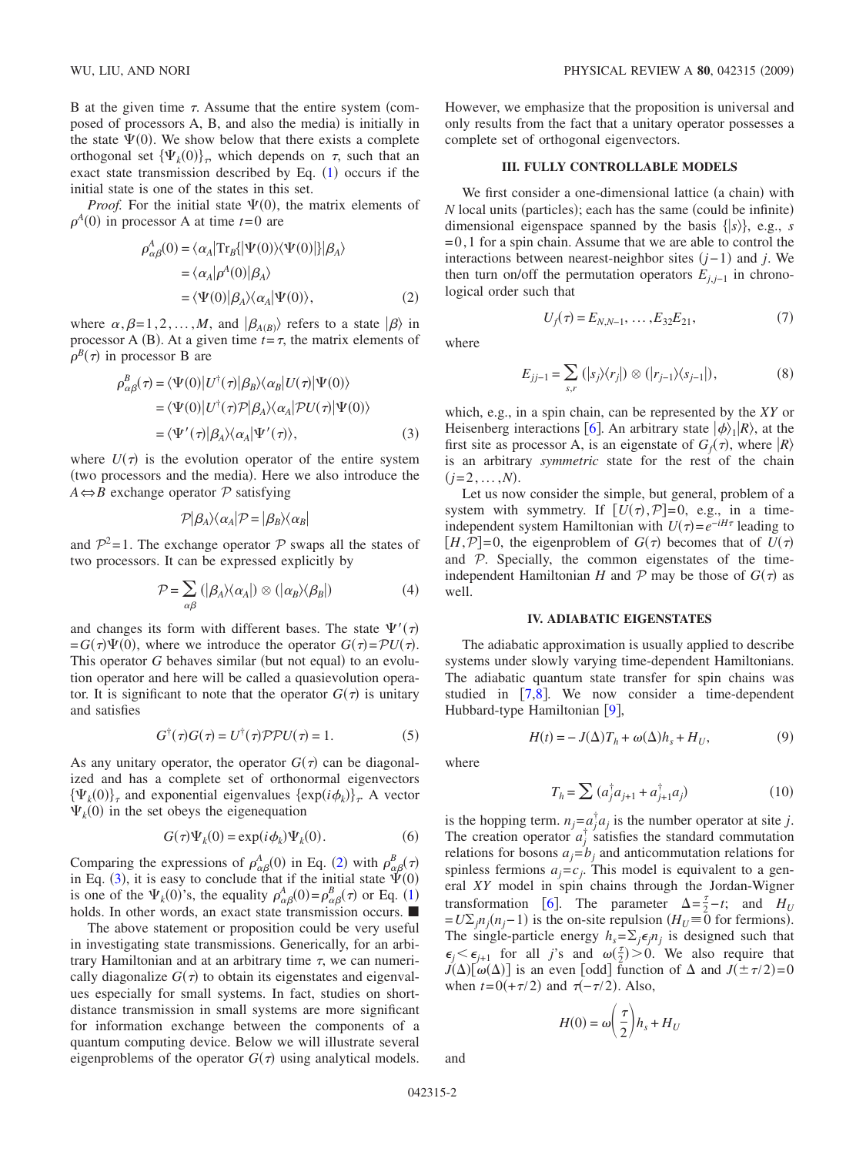B at the given time  $\tau$ . Assume that the entire system (composed of processors A, B, and also the media) is initially in the state  $\Psi(0)$ . We show below that there exists a complete orthogonal set  ${\Psi_k(0)}_r$ , which depends on  $\tau$ , such that an exact state transmission described by Eq.  $(1)$  $(1)$  $(1)$  occurs if the initial state is one of the states in this set.

<span id="page-1-0"></span>*Proof.* For the initial state  $\Psi(0)$ , the matrix elements of  $\rho^A(0)$  in processor A at time  $t=0$  are

$$
\rho_{\alpha\beta}^A(0) = \langle \alpha_A | \text{Tr}_B \{ | \Psi(0) \rangle \langle \Psi(0) | \} | \beta_A \rangle
$$
  
=  $\langle \alpha_A | \rho^A(0) | \beta_A \rangle$   
=  $\langle \Psi(0) | \beta_A \rangle \langle \alpha_A | \Psi(0) \rangle$ , (2)

where  $\alpha, \beta = 1, 2, ..., M$ , and  $\ket{\beta_{A(B)}}$  refers to a state  $\ket{\beta}$  in processor A (B). At a given time  $t = \tau$ , the matrix elements of  $\rho^{B}(\tau)$  in processor B are

<span id="page-1-1"></span>
$$
\rho_{\alpha\beta}^{B}(\tau) = \langle \Psi(0) | U^{\dagger}(\tau) | \beta_{B} \rangle \langle \alpha_{B} | U(\tau) | \Psi(0) \rangle
$$
  

$$
= \langle \Psi(0) | U^{\dagger}(\tau) \mathcal{P} | \beta_{A} \rangle \langle \alpha_{A} | \mathcal{P} U(\tau) | \Psi(0) \rangle
$$
  

$$
= \langle \Psi'(\tau) | \beta_{A} \rangle \langle \alpha_{A} | \Psi'(\tau) \rangle, \tag{3}
$$

where  $U(\tau)$  is the evolution operator of the entire system (two processors and the media). Here we also introduce the  $A \Leftrightarrow B$  exchange operator  $P$  satisfying

$$
\mathcal{P}|\beta_A\rangle\langle\alpha_A|\mathcal{P} = |\beta_B\rangle\langle\alpha_B|
$$

and  $\mathcal{P}^2$ =1. The exchange operator  $\mathcal P$  swaps all the states of two processors. It can be expressed explicitly by

$$
\mathcal{P} = \sum_{\alpha\beta} (|\beta_A\rangle\langle\alpha_A|) \otimes (|\alpha_B\rangle\langle\beta_B|)
$$
 (4)

and changes its form with different bases. The state  $\Psi'(\tau)$  $= G(\tau)\Psi(0)$ , where we introduce the operator  $G(\tau) = \mathcal{P}U(\tau)$ . This operator G behaves similar (but not equal) to an evolution operator and here will be called a quasievolution operator. It is significant to note that the operator  $G(\tau)$  is unitary and satisfies

$$
G^{\dagger}(\tau)G(\tau) = U^{\dagger}(\tau)\mathcal{P}PU(\tau) = 1.
$$
 (5)

As any unitary operator, the operator  $G(\tau)$  can be diagonalized and has a complete set of orthonormal eigenvectors  $\{\Psi_k(0)\}_\tau$  and exponential eigenvalues  $\{\exp(i\phi_k)\}_\tau$ . A vector  $\Psi_k(0)$  in the set obeys the eigenequation

$$
G(\tau)\Psi_k(0) = \exp(i\phi_k)\Psi_k(0). \tag{6}
$$

Comparing the expressions of  $\rho_{\alpha\beta}^{A}(0)$  in Eq. ([2](#page-1-0)) with  $\rho_{\alpha\beta}^{B}(\tau)$ in Eq. ([3](#page-1-1)), it is easy to conclude that if the initial state  $\Psi(0)$ is one of the  $\Psi_k(0)$ 's, the equality  $\rho_{\alpha\beta}^A(0) = \rho_{\alpha\beta}^B(\tau)$  or Eq. ([1](#page-0-0)) holds. In other words, an exact state transmission occurs.  $\blacksquare$ 

The above statement or proposition could be very useful in investigating state transmissions. Generically, for an arbitrary Hamiltonian and at an arbitrary time  $\tau$ , we can numerically diagonalize  $G(\tau)$  to obtain its eigenstates and eigenvalues especially for small systems. In fact, studies on shortdistance transmission in small systems are more significant for information exchange between the components of a quantum computing device. Below we will illustrate several eigenproblems of the operator  $G(\tau)$  using analytical models.

However, we emphasize that the proposition is universal and only results from the fact that a unitary operator possesses a complete set of orthogonal eigenvectors.

#### **III. FULLY CONTROLLABLE MODELS**

We first consider a one-dimensional lattice (a chain) with *N* local units (particles); each has the same (could be infinite) dimensional eigenspace spanned by the basis  $\{ |s\rangle \}$ , e.g., *s*  $= 0, 1$  for a spin chain. Assume that we are able to control the interactions between nearest-neighbor sites  $(j-1)$  and *j*. We then turn on/off the permutation operators  $E_{j,j-1}$  in chronological order such that

where

$$
\nabla \mathcal{L} \times \mathcal{L} \times \mathcal{L} \times \mathcal{L} \times \mathcal{L} \times \mathcal{L} \times \mathcal{L} \times \mathcal{L} \times \mathcal{L} \times \mathcal{L} \times \mathcal{L} \times \mathcal{L} \times \mathcal{L} \times \mathcal{L} \times \mathcal{L} \times \mathcal{L} \times \mathcal{L} \times \mathcal{L} \times \mathcal{L} \times \mathcal{L} \times \mathcal{L} \times \mathcal{L} \times \mathcal{L} \times \mathcal{L} \times \mathcal{L} \times \mathcal{L} \times \mathcal{L} \times \mathcal{L} \times \mathcal{L} \times \mathcal{L} \times \mathcal{L} \times \mathcal{L} \times \mathcal{L} \times \mathcal{L} \times \mathcal{L} \times \mathcal{L} \times \mathcal{L} \times \mathcal{L} \times \mathcal{L} \times \mathcal{L} \times \mathcal{L} \times \mathcal{L} \times \mathcal{L} \times \mathcal{L} \times \mathcal{L} \times \mathcal{L} \times \mathcal{L} \times \mathcal{L} \times \mathcal{L} \times \mathcal{L} \times \mathcal{L} \times \mathcal{L} \times \mathcal{L} \times \mathcal{L} \times \mathcal{L} \times \mathcal{L} \times \mathcal{L} \times \mathcal{L} \times \mathcal{L} \times \mathcal{L} \times \mathcal{L} \times \mathcal{L} \times \mathcal{L} \times \mathcal{L} \times \mathcal{L} \times \mathcal{L} \times \mathcal{L} \times \mathcal{L} \times \mathcal{L} \times \mathcal{L} \times \mathcal{L} \times \mathcal{L} \times \mathcal{L} \times \mathcal{L} \times \mathcal{L} \times \mathcal{L} \times \mathcal{L} \times \mathcal{L} \times \mathcal{L} \times \mathcal{L} \times \mathcal{L} \times \mathcal{L} \times \mathcal{L} \times \mathcal{L} \times \mathcal{L} \times \mathcal{L} \times \mathcal{L} \times \mathcal{L} \times \mathcal{L} \times \mathcal{L} \times \mathcal{L} \times \mathcal{L} \times \mathcal{L} \times \mathcal{L} \times \mathcal{
$$

 $U_f(\tau) = E_{N,N-1}, \dots, E_{32}E_{21},$  (7)

$$
E_{jj-1} = \sum_{s,r} (|s_j\rangle\langle r_j|) \otimes (|r_{j-1}\rangle\langle s_{j-1}|), \tag{8}
$$

which, e.g., in a spin chain, can be represented by the *XY* or Heisenberg interactions [[6](#page-4-4)]. An arbitrary state  $|\phi\rangle_1|R\rangle$ , at the first site as processor A, is an eigenstate of  $G_f(\tau)$ , where  $|R\rangle$ is an arbitrary *symmetric* state for the rest of the chain  $(j=2,\ldots,N)$ .

Let us now consider the simple, but general, problem of a system with symmetry. If  $[U(\tau), \mathcal{P}] = 0$ , e.g., in a timeindependent system Hamiltonian with  $U(\tau) = e^{-iH\tau}$  leading to  $[H, \mathcal{P}] = 0$ , the eigenproblem of  $G(\tau)$  becomes that of  $U(\tau)$ and  $\mathcal{P}$ . Specially, the common eigenstates of the timeindependent Hamiltonian *H* and  $P$  may be those of  $G(\tau)$  as well.

### **IV. ADIABATIC EIGENSTATES**

The adiabatic approximation is usually applied to describe systems under slowly varying time-dependent Hamiltonians. The adiabatic quantum state transfer for spin chains was studied in  $[7,8]$  $[7,8]$  $[7,8]$  $[7,8]$ . We now consider a time-dependent Hubbard-type Hamiltonian [[9](#page-4-7)],

$$
H(t) = -J(\Delta)T_h + \omega(\Delta)h_s + H_U,
$$
\n(9)

<span id="page-1-2"></span>where

$$
T_h = \sum (a_j^{\dagger} a_{j+1} + a_{j+1}^{\dagger} a_j)
$$
 (10)

is the hopping term.  $n_j = a_j^{\dagger} a_j$  is the number operator at site *j*. The creation operator  $a_j^{\dagger}$  satisfies the standard commutation relations for bosons  $a_j = b_j$  and anticommutation relations for spinless fermions  $a_j = c_j$ . This model is equivalent to a general *XY* model in spin chains through the Jordan-Wigner transformation [[6](#page-4-4)]. The parameter  $\Delta = \frac{7}{2} - t$ ; and  $H_U$  $=U\Sigma_j n_j(n_j-1)$  is the on-site repulsion  $(H_U \equiv 0$  for fermions). The single-particle energy  $h_s = \sum_j \epsilon_j n_j$  is designed such that  $\epsilon_j \leq \epsilon_{j+1}$  for all *j*'s and  $\omega(\frac{\tau}{2}) > 0$ . We also require that  $J(\Delta)$ [ $\omega(\Delta)$ ] is an even [odd] function of  $\Delta$  and  $J(\pm \tau/2)$ =0 when  $t = 0(+\tau/2)$  and  $\tau(-\tau/2)$ . Also,

$$
H(0) = \omega \left(\frac{\tau}{2}\right) h_s + H_U
$$

and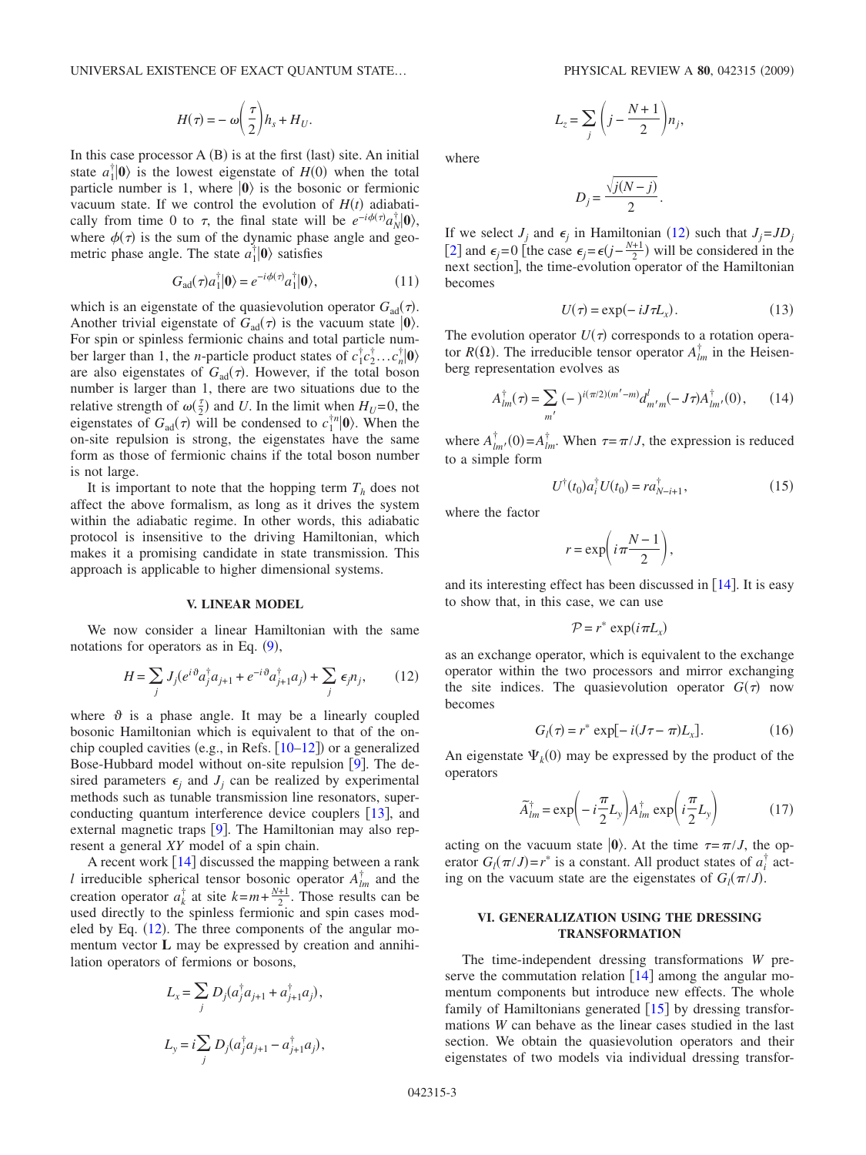$$
H(\tau) = -\omega \bigg(\frac{\tau}{2}\bigg) h_s + H_U.
$$

In this case processor  $A(B)$  is at the first (last) site. An initial state  $a_1^{\dagger} | \mathbf{0} \rangle$  is the lowest eigenstate of  $H(0)$  when the total particle number is 1, where  $|0\rangle$  is the bosonic or fermionic vacuum state. If we control the evolution of  $H(t)$  adiabatically from time 0 to  $\tau$ , the final state will be  $e^{-i\phi(\tau)} a_N^{\dagger} | \mathbf{0} \rangle$ , where  $\phi(\tau)$  is the sum of the dynamic phase angle and geometric phase angle. The state  $a_1^{\dagger} | \mathbf{0} \rangle$  satisfies

$$
G_{\text{ad}}(\tau)a_1^{\dagger}|\mathbf{0}\rangle = e^{-i\phi(\tau)}a_1^{\dagger}|\mathbf{0}\rangle,\tag{11}
$$

which is an eigenstate of the quasievolution operator  $G_{ad}(\tau)$ . Another trivial eigenstate of  $G_{\text{ad}}(\tau)$  is the vacuum state  $|0\rangle$ . For spin or spinless fermionic chains and total particle number larger than 1, the *n*-particle product states of  $c_1^{\dagger}c_2^{\dagger} \dots c_n^{\dagger}|\mathbf{0}\rangle$ are also eigenstates of  $G_{\text{ad}}(\tau)$ . However, if the total boson number is larger than 1, there are two situations due to the relative strength of  $\omega(\frac{\tau}{2})$  and *U*. In the limit when  $H_U=0$ , the eigenstates of  $G_{ad}(\tau)$  will be condensed to  $c_1^{\dagger n}|\mathbf{0}\rangle$ . When the on-site repulsion is strong, the eigenstates have the same form as those of fermionic chains if the total boson number is not large.

It is important to note that the hopping term  $T<sub>h</sub>$  does not affect the above formalism, as long as it drives the system within the adiabatic regime. In other words, this adiabatic protocol is insensitive to the driving Hamiltonian, which makes it a promising candidate in state transmission. This approach is applicable to higher dimensional systems.

### **V. LINEAR MODEL**

<span id="page-2-0"></span>We now consider a linear Hamiltonian with the same notations for operators as in Eq.  $(9)$  $(9)$  $(9)$ ,

$$
H = \sum_{j} J_{j} (e^{i\vartheta} a_{j}^{\dagger} a_{j+1} + e^{-i\vartheta} a_{j+1}^{\dagger} a_{j}) + \sum_{j} \epsilon_{j} n_{j}, \qquad (12)
$$

where  $\vartheta$  is a phase angle. It may be a linearly coupled bosonic Hamiltonian which is equivalent to that of the onchip coupled cavities (e.g., in Refs.  $[10-12]$  $[10-12]$  $[10-12]$ ) or a generalized Bose-Hubbard model without on-site repulsion  $[9]$  $[9]$  $[9]$ . The desired parameters  $\epsilon_i$  and  $J_i$  can be realized by experimental methods such as tunable transmission line resonators, superconducting quantum interference device couplers  $[13]$  $[13]$  $[13]$ , and external magnetic traps  $[9]$  $[9]$  $[9]$ . The Hamiltonian may also represent a general *XY* model of a spin chain.

A recent work  $[14]$  $[14]$  $[14]$  discussed the mapping between a rank *l* irreducible spherical tensor bosonic operator  $A_{lm}^{\dagger}$  and the creation operator  $a_k^{\dagger}$  at site  $k=m+\frac{N+1}{2}$ . Those results can be used directly to the spinless fermionic and spin cases modeled by Eq.  $(12)$  $(12)$  $(12)$ . The three components of the angular momentum vector **L** may be expressed by creation and annihilation operators of fermions or bosons,

$$
L_x = \sum_j D_j (a_j^{\dagger} a_{j+1} + a_{j+1}^{\dagger} a_j),
$$
  

$$
L_y = i \sum_j D_j (a_j^{\dagger} a_{j+1} - a_{j+1}^{\dagger} a_j),
$$

$$
L_z = \sum_j \left( j - \frac{N+1}{2} \right) n_j,
$$

where

$$
D_j = \frac{\sqrt{j(N-j)}}{2}.
$$

If we select  $J_j$  and  $\epsilon_j$  in Hamiltonian ([12](#page-2-0)) such that  $J_j = JD_j$ [[2](#page-4-1)] and  $\epsilon_j = 0$  [the case  $\epsilon_j = \epsilon(j - \frac{N+1}{2})$  will be considered in the next section], the time-evolution operator of the Hamiltonian becomes

$$
U(\tau) = \exp(-iJ\tau L_x). \tag{13}
$$

<span id="page-2-1"></span>The evolution operator  $U(\tau)$  corresponds to a rotation operator  $R(\Omega)$ . The irreducible tensor operator  $A_{lm}^{\dagger}$  in the Heisenberg representation evolves as

$$
A_{lm}^{\dagger}(\tau) = \sum_{m'} (-)^{i(\pi/2)(m'-m)} d_{m'm}^{l}(-J\tau) A_{lm'}^{\dagger}(0), \qquad (14)
$$

where  $A_{lm}^{\dagger}$  (0) =  $A_{lm}^{\dagger}$ . When  $\tau = \pi / J$ , the expression is reduced to a simple form

$$
U^{\dagger}(t_0) a_i^{\dagger} U(t_0) = r a_{N-i+1}^{\dagger}, \qquad (15)
$$

where the factor

$$
r = \exp\biggl(i\pi\frac{N-1}{2}\biggr),\,
$$

and its interesting effect has been discussed in  $[14]$  $[14]$  $[14]$ . It is easy to show that, in this case, we can use

$$
\mathcal{P} = r^* \exp(i \pi L_x)
$$

as an exchange operator, which is equivalent to the exchange operator within the two processors and mirror exchanging the site indices. The quasievolution operator  $G(\tau)$  now becomes

$$
G_l(\tau) = r^* \exp[-i(J\tau - \pi)L_x].
$$
 (16)

An eigenstate  $\Psi_k(0)$  may be expressed by the product of the operators

$$
\widetilde{A}_{lm}^{\dagger} = \exp\left(-i\frac{\pi}{2}L_y\right)A_{lm}^{\dagger} \exp\left(i\frac{\pi}{2}L_y\right) \tag{17}
$$

acting on the vacuum state  $|0\rangle$ . At the time  $\tau = \pi / J$ , the operator  $G_l(\pi/J) = r^*$  is a constant. All product states of  $a_i^{\dagger}$  acting on the vacuum state are the eigenstates of  $G_l(\pi / J)$ .

# **VI. GENERALIZATION USING THE DRESSING TRANSFORMATION**

The time-independent dressing transformations *W* preserve the commutation relation  $[14]$  $[14]$  $[14]$  among the angular momentum components but introduce new effects. The whole family of Hamiltonians generated  $[15]$  $[15]$  $[15]$  by dressing transformations *W* can behave as the linear cases studied in the last section. We obtain the quasievolution operators and their eigenstates of two models via individual dressing transfor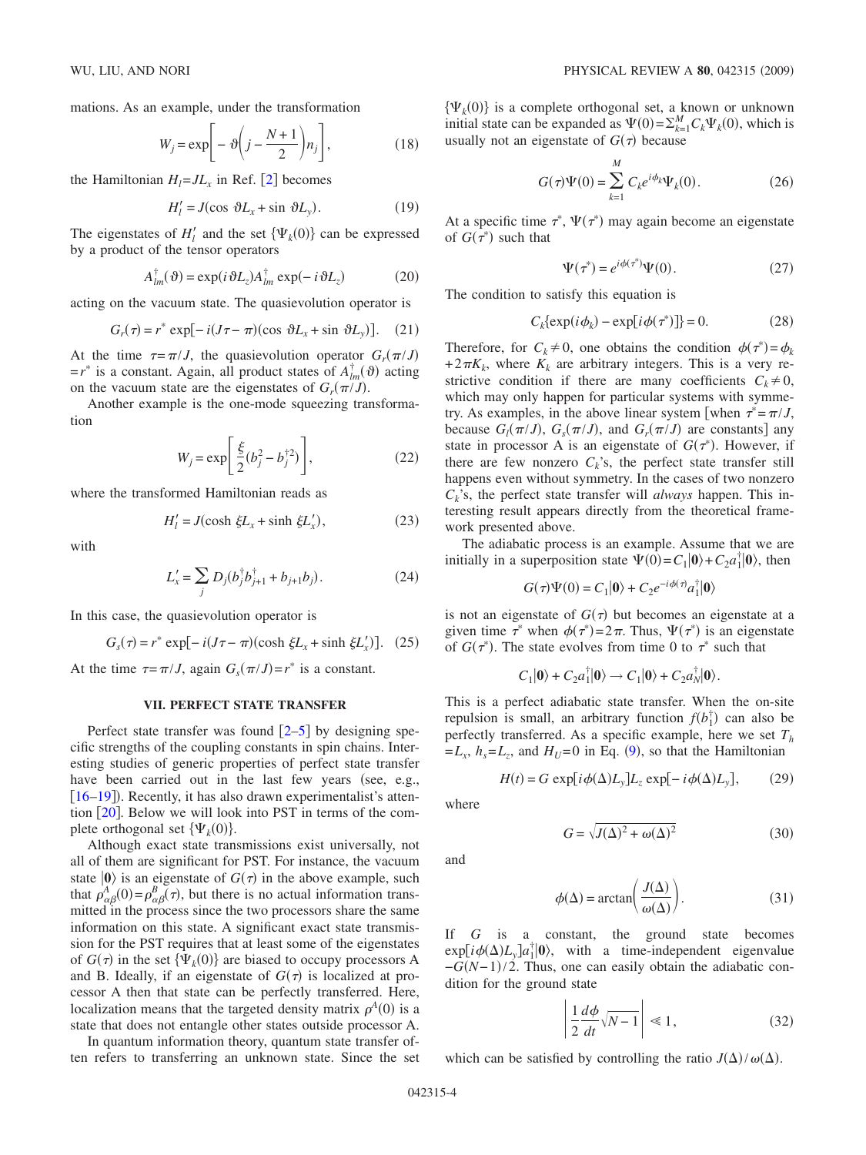mations. As an example, under the transformation

$$
W_j = \exp\bigg[-\vartheta\bigg(j - \frac{N+1}{2}\bigg)n_j\bigg],\tag{18}
$$

the Hamiltonian  $H_1 = J L_x$  in Ref. [[2](#page-4-1)] becomes

$$
H'_l = J(\cos \vartheta L_x + \sin \vartheta L_y). \tag{19}
$$

The eigenstates of  $H'_l$  and the set  $\{\Psi_k(0)\}$  can be expressed by a product of the tensor operators

$$
A_{lm}^{\dagger}(\vartheta) = \exp(i\vartheta L_z) A_{lm}^{\dagger} \exp(-i\vartheta L_z)
$$
 (20)

acting on the vacuum state. The quasievolution operator is

$$
G_r(\tau) = r^* \exp[-i(J\tau - \pi)(\cos \vartheta L_x + \sin \vartheta L_y)]. \quad (21)
$$

At the time  $\tau = \pi / J$ , the quasievolution operator  $G_r(\pi / J)$  $=r^*$  is a constant. Again, all product states of  $A_{lm}^{\dagger}(\vartheta)$  acting on the vacuum state are the eigenstates of  $G_r(\pi/J)$ .

Another example is the one-mode squeezing transformation

$$
W_j = \exp\left[\frac{\xi}{2}(b_j^2 - b_j^{\dagger 2})\right],
$$
 (22)

where the transformed Hamiltonian reads as

$$
H'_{l} = J(\cosh \xi L_{x} + \sinh \xi L'_{x}), \qquad (23)
$$

with

$$
L'_{x} = \sum_{j} D_{j} (b_{j}^{\dagger} b_{j+1}^{\dagger} + b_{j+1} b_{j}). \tag{24}
$$

In this case, the quasievolution operator is

$$
Gs(\tau) = r^* \exp[-i(J\tau - \pi)(\cosh \xi L_x + \sinh \xi L_x')].
$$
 (25)

At the time  $\tau = \pi / J$ , again  $G_s(\pi / J) = r^*$  is a constant.

#### **VII. PERFECT STATE TRANSFER**

Perfect state transfer was found  $\left[2-5\right]$  $\left[2-5\right]$  $\left[2-5\right]$  by designing specific strengths of the coupling constants in spin chains. Interesting studies of generic properties of perfect state transfer have been carried out in the last few years (see, e.g., [[16](#page-4-13)[–19](#page-5-0)]). Recently, it has also drawn experimentalist's attention  $\lceil 20 \rceil$  $\lceil 20 \rceil$  $\lceil 20 \rceil$ . Below we will look into PST in terms of the complete orthogonal set  $\{\Psi_k(0)\}.$ 

Although exact state transmissions exist universally, not all of them are significant for PST. For instance, the vacuum state  $|0\rangle$  is an eigenstate of  $G(\tau)$  in the above example, such that  $\rho_{\alpha\beta}^{A}(0) = \rho_{\alpha\beta}^{B}(\tau)$ , but there is no actual information transmitted in the process since the two processors share the same information on this state. A significant exact state transmission for the PST requires that at least some of the eigenstates of  $G(\tau)$  in the set  $\{\Psi_k(0)\}\$  are biased to occupy processors A and B. Ideally, if an eigenstate of  $G(\tau)$  is localized at processor A then that state can be perfectly transferred. Here, localization means that the targeted density matrix  $\rho^A(0)$  is a state that does not entangle other states outside processor A.

In quantum information theory, quantum state transfer often refers to transferring an unknown state. Since the set  $\{\Psi_k(0)\}\$ is a complete orthogonal set, a known or unknown initial state can be expanded as  $\Psi(0) = \sum_{k=1}^{M} C_k \Psi_k(0)$ , which is usually not an eigenstate of  $G(\tau)$  because

$$
G(\tau)\Psi(0) = \sum_{k=1}^{M} C_k e^{i\phi_k} \Psi_k(0).
$$
 (26)

At a specific time  $\tau^*$ ,  $\Psi(\tau^*)$  may again become an eigenstate of  $G(\tau^*)$  such that

$$
\Psi(\tau^*) = e^{i\phi(\tau^*)}\Psi(0). \tag{27}
$$

The condition to satisfy this equation is

$$
C_k \{ \exp(i\phi_k) - \exp[i\phi(\tau^*)] \} = 0. \tag{28}
$$

Therefore, for  $C_k \neq 0$ , one obtains the condition  $\phi(\tau^*) = \phi_k$  $+ 2\pi K_k$ , where  $K_k$  are arbitrary integers. This is a very restrictive condition if there are many coefficients  $C_k \neq 0$ , which may only happen for particular systems with symmetry. As examples, in the above linear system [when  $\tau^* = \pi / J$ , because  $G_l(\pi/J)$ ,  $G_s(\pi/J)$ , and  $G_r(\pi/J)$  are constants] any state in processor A is an eigenstate of  $G(\tau^*)$ . However, if there are few nonzero  $C_k$ 's, the perfect state transfer still happens even without symmetry. In the cases of two nonzero *Ck*'s, the perfect state transfer will *always* happen. This interesting result appears directly from the theoretical framework presented above.

The adiabatic process is an example. Assume that we are initially in a superposition state  $\Psi(0) = C_1 | \mathbf{0} \rangle + C_2 a_1^{\dagger} | \mathbf{0} \rangle$ , then

$$
G(\tau)\Psi(0) = C_1|\mathbf{0}\rangle + C_2 e^{-i\phi(\tau)} a_1^{\dagger}|\mathbf{0}\rangle
$$

is not an eigenstate of  $G(\tau)$  but becomes an eigenstate at a given time  $\tau^*$  when  $\phi(\tau^*) = 2\pi$ . Thus,  $\Psi(\tau^*)$  is an eigenstate of  $G(\tau^*)$ . The state evolves from time 0 to  $\tau^*$  such that

$$
C_1|0\rangle + C_2a_1^{\dagger}|0\rangle \rightarrow C_1|0\rangle + C_2a_N^{\dagger}|0\rangle.
$$

This is a perfect adiabatic state transfer. When the on-site repulsion is small, an arbitrary function  $f(b_1^{\dagger})$  can also be perfectly transferred. As a specific example, here we set  $T<sub>h</sub>$  $=L_x$ ,  $h_s = L_z$ , and  $H_U = 0$  in Eq. ([9](#page-1-2)), so that the Hamiltonian

$$
H(t) = G \exp[i\phi(\Delta)L_{y}]L_{z} \exp[-i\phi(\Delta)L_{y}], \qquad (29)
$$

where

$$
G = \sqrt{J(\Delta)^2 + \omega(\Delta)^2} \tag{30}
$$

and

$$
\phi(\Delta) = \arctan\left(\frac{J(\Delta)}{\omega(\Delta)}\right). \tag{31}
$$

If *G* is a constant, the ground state becomes  $\exp[i\phi(\Delta)L_y]a_1^{\dagger}|\mathbf{0}\rangle$ , with a time-independent eigenvalue  $-G(N-1)/2$ . Thus, one can easily obtain the adiabatic condition for the ground state

$$
\left| \frac{1}{2} \frac{d\phi}{dt} \sqrt{N-1} \right| \ll 1, \tag{32}
$$

which can be satisfied by controlling the ratio  $J(\Delta)/\omega(\Delta)$ .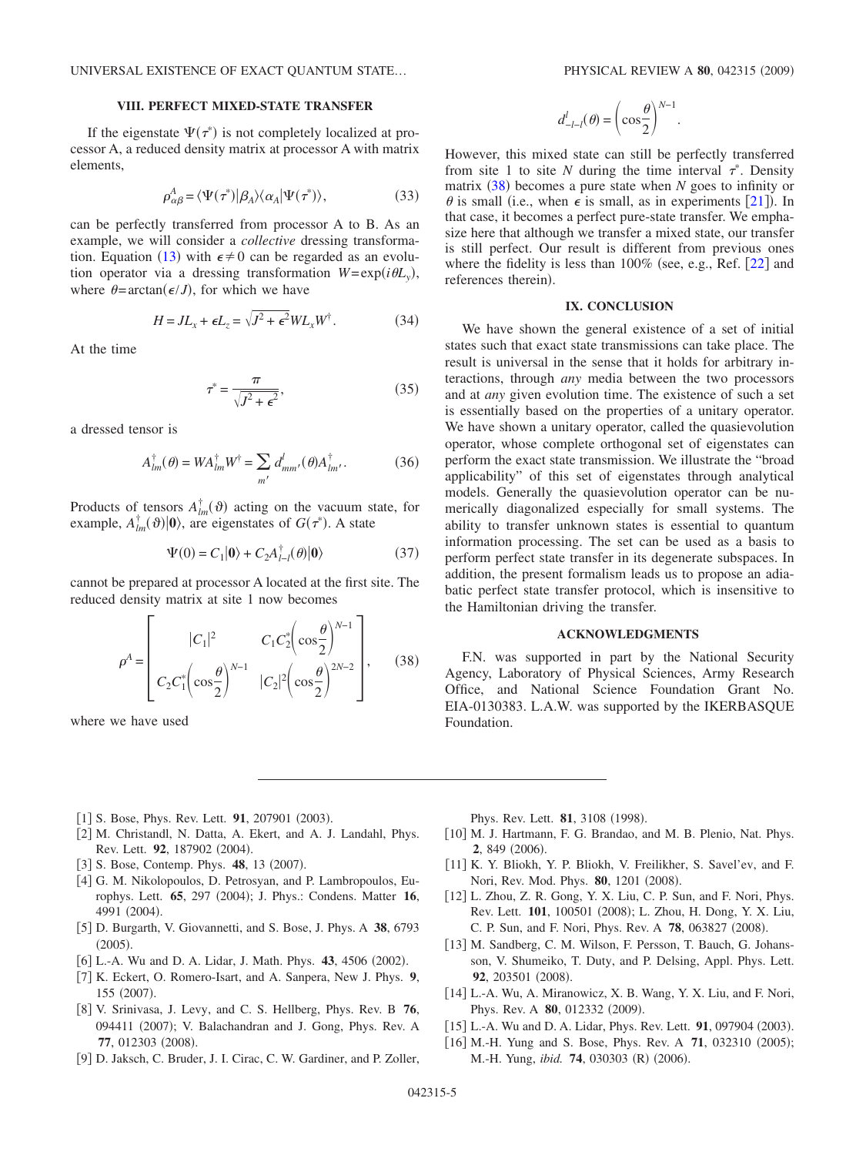## **VIII. PERFECT MIXED-STATE TRANSFER**

If the eigenstate  $\Psi(\tau^*)$  is not completely localized at processor A, a reduced density matrix at processor A with matrix elements,

$$
\rho_{\alpha\beta}^A = \langle \Psi(\tau^*)|\beta_A\rangle\langle\alpha_A|\Psi(\tau^*)\rangle,\tag{33}
$$

can be perfectly transferred from processor A to B. As an example, we will consider a *collective* dressing transforma-tion. Equation ([13](#page-2-1)) with  $\epsilon \neq 0$  can be regarded as an evolution operator via a dressing transformation  $W = \exp(i\theta L_y)$ , where  $\theta = \arctan(\epsilon / J)$ , for which we have

$$
H = JL_x + \epsilon L_z = \sqrt{J^2 + \epsilon^2} WL_x W^{\dagger}.
$$
 (34)

At the time

$$
\tau^* = \frac{\pi}{\sqrt{J^2 + \epsilon^2}},\tag{35}
$$

a dressed tensor is

$$
A_{lm}^{\dagger}(\theta) = WA_{lm}^{\dagger}W^{\dagger} = \sum_{m'} d_{mm'}^l(\theta)A_{lm'}^{\dagger}.
$$
 (36)

Products of tensors  $A_{lm}^{\dagger}(\vartheta)$  acting on the vacuum state, for example,  $A_{lm}^{\dagger}(\vartheta)|0\rangle$ , are eigenstates of  $G(\tau^*)$ . A state

$$
\Psi(0) = C_1 |0\rangle + C_2 A_{l-l}^{\dagger}(\theta) |0\rangle \tag{37}
$$

<span id="page-4-14"></span>cannot be prepared at processor A located at the first site. The reduced density matrix at site 1 now becomes

$$
\rho^{A} = \begin{bmatrix} |C_{1}|^{2} & C_{1}C_{2}^{*} \left(\cos\frac{\theta}{2}\right)^{N-1} \\ C_{2}C_{1}^{*} \left(\cos\frac{\theta}{2}\right)^{N-1} & |C_{2}|^{2} \left(\cos\frac{\theta}{2}\right)^{2N-2} \end{bmatrix}, \quad (38)
$$

where we have used

$$
d_{-l-l}^l(\theta) = \left(\cos\frac{\theta}{2}\right)^{N-1}.
$$

However, this mixed state can still be perfectly transferred from site 1 to site N during the time interval  $\tau^*$ . Density matrix ([38](#page-4-14)) becomes a pure state when *N* goes to infinity or  $\theta$  is small (i.e., when  $\epsilon$  is small, as in experiments [[21](#page-5-2)]). In that case, it becomes a perfect pure-state transfer. We emphasize here that although we transfer a mixed state, our transfer is still perfect. Our result is different from previous ones where the fidelity is less than  $100\%$  (see, e.g., Ref.  $[22]$  $[22]$  $[22]$  and references therein).

### **IX. CONCLUSION**

We have shown the general existence of a set of initial states such that exact state transmissions can take place. The result is universal in the sense that it holds for arbitrary interactions, through *any* media between the two processors and at *any* given evolution time. The existence of such a set is essentially based on the properties of a unitary operator. We have shown a unitary operator, called the quasievolution operator, whose complete orthogonal set of eigenstates can perform the exact state transmission. We illustrate the "broad applicability" of this set of eigenstates through analytical models. Generally the quasievolution operator can be numerically diagonalized especially for small systems. The ability to transfer unknown states is essential to quantum information processing. The set can be used as a basis to perform perfect state transfer in its degenerate subspaces. In addition, the present formalism leads us to propose an adiabatic perfect state transfer protocol, which is insensitive to the Hamiltonian driving the transfer.

# **ACKNOWLEDGMENTS**

F.N. was supported in part by the National Security Agency, Laboratory of Physical Sciences, Army Research Office, and National Science Foundation Grant No. EIA-0130383. L.A.W. was supported by the IKERBASQUE Foundation.

- <span id="page-4-0"></span>[1] S. Bose, Phys. Rev. Lett. **91**, 207901 (2003).
- <span id="page-4-1"></span>[2] M. Christandl, N. Datta, A. Ekert, and A. J. Landahl, Phys. Rev. Lett. 92, 187902 (2004).
- <span id="page-4-2"></span>[3] S. Bose, Contemp. Phys. **48**, 13 (2007).
- [4] G. M. Nikolopoulos, D. Petrosyan, and P. Lambropoulos, Europhys. Lett. 65, 297 (2004); J. Phys.: Condens. Matter 16, 4991 (2004).
- <span id="page-4-3"></span>5 D. Burgarth, V. Giovannetti, and S. Bose, J. Phys. A **38**, 6793  $(2005).$
- <span id="page-4-4"></span>[6] L.-A. Wu and D. A. Lidar, J. Math. Phys. 43, 4506 (2002).
- <span id="page-4-5"></span>7 K. Eckert, O. Romero-Isart, and A. Sanpera, New J. Phys. **9**, 155 (2007).
- <span id="page-4-6"></span>8 V. Srinivasa, J. Levy, and C. S. Hellberg, Phys. Rev. B **76**, 094411 (2007); V. Balachandran and J. Gong, Phys. Rev. A 77, 012303 (2008).
- <span id="page-4-7"></span>[9] D. Jaksch, C. Bruder, J. I. Cirac, C. W. Gardiner, and P. Zoller,

Phys. Rev. Lett. **81**, 3108 (1998).

- <span id="page-4-8"></span>[10] M. J. Hartmann, F. G. Brandao, and M. B. Plenio, Nat. Phys. 2, 849 (2006).
- [11] K. Y. Bliokh, Y. P. Bliokh, V. Freilikher, S. Savel'ev, and F. Nori, Rev. Mod. Phys. **80**, 1201 (2008).
- <span id="page-4-9"></span>[12] L. Zhou, Z. R. Gong, Y. X. Liu, C. P. Sun, and F. Nori, Phys. Rev. Lett. 101, 100501 (2008); L. Zhou, H. Dong, Y. X. Liu, C. P. Sun, and F. Nori, Phys. Rev. A 78, 063827 (2008).
- <span id="page-4-10"></span>[13] M. Sandberg, C. M. Wilson, F. Persson, T. Bauch, G. Johansson, V. Shumeiko, T. Duty, and P. Delsing, Appl. Phys. Lett. 92, 203501 (2008).
- <span id="page-4-11"></span>[14] L.-A. Wu, A. Miranowicz, X. B. Wang, Y. X. Liu, and F. Nori, Phys. Rev. A 80, 012332 (2009).
- <span id="page-4-12"></span>[15] L.-A. Wu and D. A. Lidar, Phys. Rev. Lett. **91**, 097904 (2003).
- <span id="page-4-13"></span>[16] M.-H. Yung and S. Bose, Phys. Rev. A 71, 032310 (2005); M.-H. Yung, *ibid.* **74**, 030303 (R) (2006).